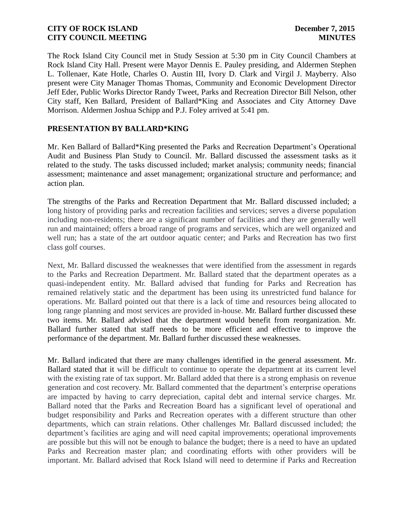The Rock Island City Council met in Study Session at 5:30 pm in City Council Chambers at Rock Island City Hall. Present were Mayor Dennis E. Pauley presiding, and Aldermen Stephen L. Tollenaer, Kate Hotle, Charles O. Austin III, Ivory D. Clark and Virgil J. Mayberry. Also present were City Manager Thomas Thomas, Community and Economic Development Director Jeff Eder, Public Works Director Randy Tweet, Parks and Recreation Director Bill Nelson, other City staff, Ken Ballard, President of Ballard\*King and Associates and City Attorney Dave Morrison. Aldermen Joshua Schipp and P.J. Foley arrived at 5:41 pm.

# **PRESENTATION BY BALLARD\*KING**

Mr. Ken Ballard of Ballard\*King presented the Parks and Recreation Department's Operational Audit and Business Plan Study to Council. Mr. Ballard discussed the assessment tasks as it related to the study. The tasks discussed included; market analysis; community needs; financial assessment; maintenance and asset management; organizational structure and performance; and action plan.

The strengths of the Parks and Recreation Department that Mr. Ballard discussed included; a long history of providing parks and recreation facilities and services; serves a diverse population including non-residents; there are a significant number of facilities and they are generally well run and maintained; offers a broad range of programs and services, which are well organized and well run; has a state of the art outdoor aquatic center; and Parks and Recreation has two first class golf courses.

Next, Mr. Ballard discussed the weaknesses that were identified from the assessment in regards to the Parks and Recreation Department. Mr. Ballard stated that the department operates as a quasi-independent entity. Mr. Ballard advised that funding for Parks and Recreation has remained relatively static and the department has been using its unrestricted fund balance for operations. Mr. Ballard pointed out that there is a lack of time and resources being allocated to long range planning and most services are provided in-house. Mr. Ballard further discussed these two items. Mr. Ballard advised that the department would benefit from reorganization. Mr. Ballard further stated that staff needs to be more efficient and effective to improve the performance of the department. Mr. Ballard further discussed these weaknesses.

Mr. Ballard indicated that there are many challenges identified in the general assessment. Mr. Ballard stated that it will be difficult to continue to operate the department at its current level with the existing rate of tax support. Mr. Ballard added that there is a strong emphasis on revenue generation and cost recovery. Mr. Ballard commented that the department's enterprise operations are impacted by having to carry depreciation, capital debt and internal service charges. Mr. Ballard noted that the Parks and Recreation Board has a significant level of operational and budget responsibility and Parks and Recreation operates with a different structure than other departments, which can strain relations. Other challenges Mr. Ballard discussed included; the department's facilities are aging and will need capital improvements; operational improvements are possible but this will not be enough to balance the budget; there is a need to have an updated Parks and Recreation master plan; and coordinating efforts with other providers will be important. Mr. Ballard advised that Rock Island will need to determine if Parks and Recreation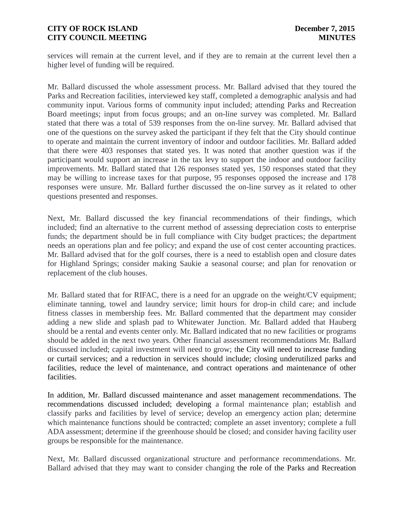services will remain at the current level, and if they are to remain at the current level then a higher level of funding will be required.

Mr. Ballard discussed the whole assessment process. Mr. Ballard advised that they toured the Parks and Recreation facilities, interviewed key staff, completed a demographic analysis and had community input. Various forms of community input included; attending Parks and Recreation Board meetings; input from focus groups; and an on-line survey was completed. Mr. Ballard stated that there was a total of 539 responses from the on-line survey. Mr. Ballard advised that one of the questions on the survey asked the participant if they felt that the City should continue to operate and maintain the current inventory of indoor and outdoor facilities. Mr. Ballard added that there were 403 responses that stated yes. It was noted that another question was if the participant would support an increase in the tax levy to support the indoor and outdoor facility improvements. Mr. Ballard stated that 126 responses stated yes, 150 responses stated that they may be willing to increase taxes for that purpose, 95 responses opposed the increase and 178 responses were unsure. Mr. Ballard further discussed the on-line survey as it related to other questions presented and responses.

Next, Mr. Ballard discussed the key financial recommendations of their findings, which included; find an alternative to the current method of assessing depreciation costs to enterprise funds; the department should be in full compliance with City budget practices; the department needs an operations plan and fee policy; and expand the use of cost center accounting practices. Mr. Ballard advised that for the golf courses, there is a need to establish open and closure dates for Highland Springs; consider making Saukie a seasonal course; and plan for renovation or replacement of the club houses.

Mr. Ballard stated that for RIFAC, there is a need for an upgrade on the weight/CV equipment; eliminate tanning, towel and laundry service; limit hours for drop-in child care; and include fitness classes in membership fees. Mr. Ballard commented that the department may consider adding a new slide and splash pad to Whitewater Junction. Mr. Ballard added that Hauberg should be a rental and events center only. Mr. Ballard indicated that no new facilities or programs should be added in the next two years. Other financial assessment recommendations Mr. Ballard discussed included; capital investment will need to grow; the City will need to increase funding or curtail services; and a reduction in services should include; closing underutilized parks and facilities, reduce the level of maintenance, and contract operations and maintenance of other facilities.

In addition, Mr. Ballard discussed maintenance and asset management recommendations. The recommendations discussed included; developing a formal maintenance plan; establish and classify parks and facilities by level of service; develop an emergency action plan; determine which maintenance functions should be contracted; complete an asset inventory; complete a full ADA assessment; determine if the greenhouse should be closed; and consider having facility user groups be responsible for the maintenance.

Next, Mr. Ballard discussed organizational structure and performance recommendations. Mr. Ballard advised that they may want to consider changing the role of the Parks and Recreation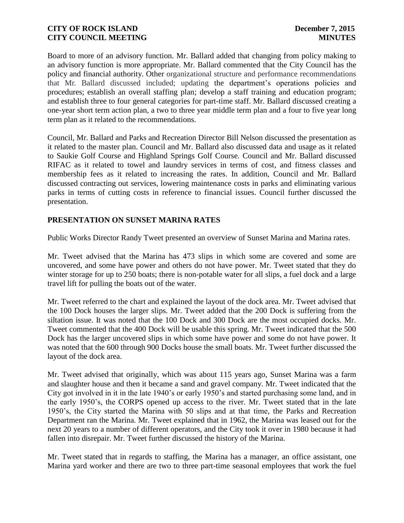Board to more of an advisory function. Mr. Ballard added that changing from policy making to an advisory function is more appropriate. Mr. Ballard commented that the City Council has the policy and financial authority. Other organizational structure and performance recommendations that Mr. Ballard discussed included; updating the department's operations policies and procedures; establish an overall staffing plan; develop a staff training and education program; and establish three to four general categories for part-time staff. Mr. Ballard discussed creating a one-year short term action plan, a two to three year middle term plan and a four to five year long term plan as it related to the recommendations.

Council, Mr. Ballard and Parks and Recreation Director Bill Nelson discussed the presentation as it related to the master plan. Council and Mr. Ballard also discussed data and usage as it related to Saukie Golf Course and Highland Springs Golf Course. Council and Mr. Ballard discussed RIFAC as it related to towel and laundry services in terms of cost, and fitness classes and membership fees as it related to increasing the rates. In addition, Council and Mr. Ballard discussed contracting out services, lowering maintenance costs in parks and eliminating various parks in terms of cutting costs in reference to financial issues. Council further discussed the presentation.

# **PRESENTATION ON SUNSET MARINA RATES**

Public Works Director Randy Tweet presented an overview of Sunset Marina and Marina rates.

Mr. Tweet advised that the Marina has 473 slips in which some are covered and some are uncovered, and some have power and others do not have power. Mr. Tweet stated that they do winter storage for up to 250 boats; there is non-potable water for all slips, a fuel dock and a large travel lift for pulling the boats out of the water.

Mr. Tweet referred to the chart and explained the layout of the dock area. Mr. Tweet advised that the 100 Dock houses the larger slips. Mr. Tweet added that the 200 Dock is suffering from the siltation issue. It was noted that the 100 Dock and 300 Dock are the most occupied docks. Mr. Tweet commented that the 400 Dock will be usable this spring. Mr. Tweet indicated that the 500 Dock has the larger uncovered slips in which some have power and some do not have power. It was noted that the 600 through 900 Docks house the small boats. Mr. Tweet further discussed the layout of the dock area.

Mr. Tweet advised that originally, which was about 115 years ago, Sunset Marina was a farm and slaughter house and then it became a sand and gravel company. Mr. Tweet indicated that the City got involved in it in the late 1940's or early 1950's and started purchasing some land, and in the early 1950's, the CORPS opened up access to the river. Mr. Tweet stated that in the late 1950's, the City started the Marina with 50 slips and at that time, the Parks and Recreation Department ran the Marina. Mr. Tweet explained that in 1962, the Marina was leased out for the next 20 years to a number of different operators, and the City took it over in 1980 because it had fallen into disrepair. Mr. Tweet further discussed the history of the Marina.

Mr. Tweet stated that in regards to staffing, the Marina has a manager, an office assistant, one Marina yard worker and there are two to three part-time seasonal employees that work the fuel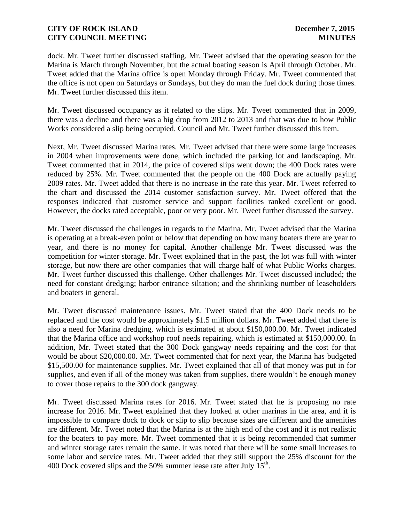dock. Mr. Tweet further discussed staffing. Mr. Tweet advised that the operating season for the Marina is March through November, but the actual boating season is April through October. Mr. Tweet added that the Marina office is open Monday through Friday. Mr. Tweet commented that the office is not open on Saturdays or Sundays, but they do man the fuel dock during those times. Mr. Tweet further discussed this item.

Mr. Tweet discussed occupancy as it related to the slips. Mr. Tweet commented that in 2009, there was a decline and there was a big drop from 2012 to 2013 and that was due to how Public Works considered a slip being occupied. Council and Mr. Tweet further discussed this item.

Next, Mr. Tweet discussed Marina rates. Mr. Tweet advised that there were some large increases in 2004 when improvements were done, which included the parking lot and landscaping. Mr. Tweet commented that in 2014, the price of covered slips went down; the 400 Dock rates were reduced by 25%. Mr. Tweet commented that the people on the 400 Dock are actually paying 2009 rates. Mr. Tweet added that there is no increase in the rate this year. Mr. Tweet referred to the chart and discussed the 2014 customer satisfaction survey. Mr. Tweet offered that the responses indicated that customer service and support facilities ranked excellent or good. However, the docks rated acceptable, poor or very poor. Mr. Tweet further discussed the survey.

Mr. Tweet discussed the challenges in regards to the Marina. Mr. Tweet advised that the Marina is operating at a break-even point or below that depending on how many boaters there are year to year, and there is no money for capital. Another challenge Mr. Tweet discussed was the competition for winter storage. Mr. Tweet explained that in the past, the lot was full with winter storage, but now there are other companies that will charge half of what Public Works charges. Mr. Tweet further discussed this challenge. Other challenges Mr. Tweet discussed included; the need for constant dredging; harbor entrance siltation; and the shrinking number of leaseholders and boaters in general.

Mr. Tweet discussed maintenance issues. Mr. Tweet stated that the 400 Dock needs to be replaced and the cost would be approximately \$1.5 million dollars. Mr. Tweet added that there is also a need for Marina dredging, which is estimated at about \$150,000.00. Mr. Tweet indicated that the Marina office and workshop roof needs repairing, which is estimated at \$150,000.00. In addition, Mr. Tweet stated that the 300 Dock gangway needs repairing and the cost for that would be about \$20,000.00. Mr. Tweet commented that for next year, the Marina has budgeted \$15,500.00 for maintenance supplies. Mr. Tweet explained that all of that money was put in for supplies, and even if all of the money was taken from supplies, there wouldn't be enough money to cover those repairs to the 300 dock gangway.

Mr. Tweet discussed Marina rates for 2016. Mr. Tweet stated that he is proposing no rate increase for 2016. Mr. Tweet explained that they looked at other marinas in the area, and it is impossible to compare dock to dock or slip to slip because sizes are different and the amenities are different. Mr. Tweet noted that the Marina is at the high end of the cost and it is not realistic for the boaters to pay more. Mr. Tweet commented that it is being recommended that summer and winter storage rates remain the same. It was noted that there will be some small increases to some labor and service rates. Mr. Tweet added that they still support the 25% discount for the 400 Dock covered slips and the 50% summer lease rate after July  $15<sup>th</sup>$ .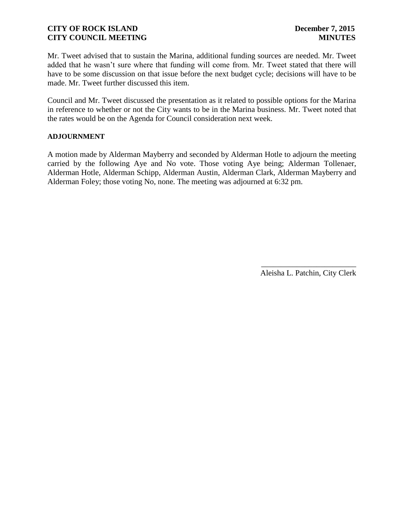Mr. Tweet advised that to sustain the Marina, additional funding sources are needed. Mr. Tweet added that he wasn't sure where that funding will come from. Mr. Tweet stated that there will have to be some discussion on that issue before the next budget cycle; decisions will have to be made. Mr. Tweet further discussed this item.

Council and Mr. Tweet discussed the presentation as it related to possible options for the Marina in reference to whether or not the City wants to be in the Marina business. Mr. Tweet noted that the rates would be on the Agenda for Council consideration next week.

### **ADJOURNMENT**

A motion made by Alderman Mayberry and seconded by Alderman Hotle to adjourn the meeting carried by the following Aye and No vote. Those voting Aye being; Alderman Tollenaer, Alderman Hotle, Alderman Schipp, Alderman Austin, Alderman Clark, Alderman Mayberry and Alderman Foley; those voting No, none. The meeting was adjourned at 6:32 pm.

> \_\_\_\_\_\_\_\_\_\_\_\_\_\_\_\_\_\_\_\_\_\_\_\_ Aleisha L. Patchin, City Clerk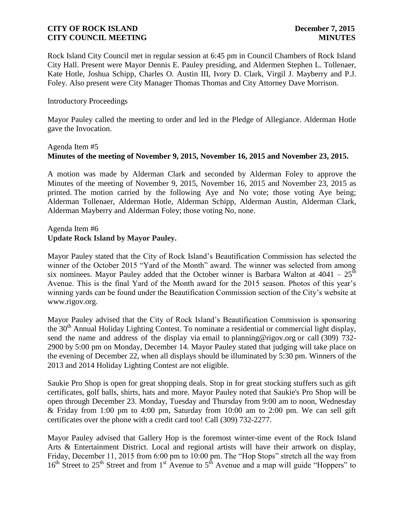Rock Island City Council met in regular session at 6:45 pm in Council Chambers of Rock Island City Hall. Present were Mayor Dennis E. Pauley presiding, and Aldermen Stephen L. Tollenaer, Kate Hotle, Joshua Schipp, Charles O. Austin III, Ivory D. Clark, Virgil J. Mayberry and P.J. Foley. Also present were City Manager Thomas Thomas and City Attorney Dave Morrison.

### Introductory Proceedings

Mayor Pauley called the meeting to order and led in the Pledge of Allegiance. Alderman Hotle gave the Invocation.

# Agenda Item #5 **Minutes of the meeting of November 9, 2015, November 16, 2015 and November 23, 2015.**

A motion was made by Alderman Clark and seconded by Alderman Foley to approve the Minutes of the meeting of November 9, 2015, November 16, 2015 and November 23, 2015 as printed. The motion carried by the following Aye and No vote; those voting Aye being; Alderman Tollenaer, Alderman Hotle, Alderman Schipp, Alderman Austin, Alderman Clark, Alderman Mayberry and Alderman Foley; those voting No, none.

### Agenda Item #6 **Update Rock Island by Mayor Pauley.**

Mayor Pauley stated that the City of Rock Island's Beautification Commission has selected the winner of the October 2015 "Yard of the Month" award. The winner was selected from among six nominees. Mayor Pauley added that the October winner is Barbara Walton at  $4041 - 25$ <sup>th</sup> Avenue. This is the final Yard of the Month award for the 2015 season. Photos of this year's winning yards can be found under the Beautification Commission section of the City's website at www.rigov.org.

Mayor Pauley advised that the City of Rock Island's Beautification Commission is sponsoring the 30<sup>th</sup> Annual Holiday Lighting Contest. To nominate a residential or commercial light display, send the name and address of the display via email to planning@rigov.org or call (309) 732-2900 by 5:00 pm on Monday, December 14. Mayor Pauley stated that judging will take place on the evening of December 22, when all displays should be illuminated by 5:30 pm. Winners of the 2013 and 2014 Holiday Lighting Contest are not eligible.

Saukie Pro Shop is open for great shopping deals. Stop in for great stocking stuffers such as gift certificates, golf balls, shirts, hats and more. Mayor Pauley noted that Saukie's Pro Shop will be open through December 23. Monday, Tuesday and Thursday from 9:00 am to noon, Wednesday & Friday from 1:00 pm to 4:00 pm, Saturday from 10:00 am to 2:00 pm. We can sell gift certificates over the phone with a credit card too! Call (309) 732-2277.

Mayor Pauley advised that Gallery Hop is the foremost winter-time event of the Rock Island Arts & Entertainment District. Local and regional artists will have their artwork on display, Friday, December 11, 2015 from 6:00 pm to 10:00 pm. The "Hop Stops" stretch all the way from  $16<sup>th</sup>$  Street to  $25<sup>th</sup>$  Street and from  $1<sup>st</sup>$  Avenue to  $5<sup>th</sup>$  Avenue and a map will guide "Hoppers" to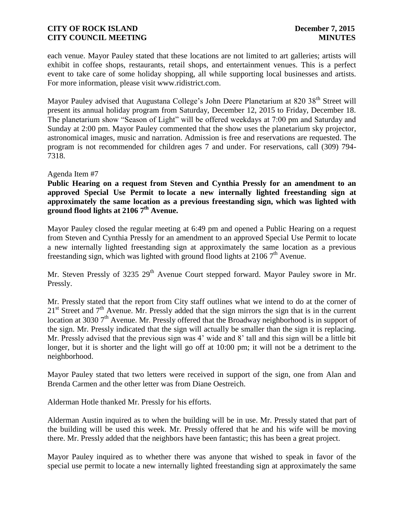each venue. Mayor Pauley stated that these locations are not limited to art galleries; artists will exhibit in coffee shops, restaurants, retail shops, and entertainment venues. This is a perfect event to take care of some holiday shopping, all while supporting local businesses and artists. For more information, please visit www.ridistrict.com.

Mayor Pauley advised that Augustana College's John Deere Planetarium at 820 38<sup>th</sup> Street will present its annual holiday program from Saturday, December 12, 2015 to Friday, December 18. The planetarium show "Season of Light" will be offered weekdays at 7:00 pm and Saturday and Sunday at 2:00 pm. Mayor Pauley commented that the show uses the planetarium sky projector, astronomical images, music and narration. Admission is free and reservations are requested. The program is not recommended for children ages 7 and under. For reservations, call (309) 794- 7318.

### Agenda Item #7

**Public Hearing on a request from Steven and Cynthia Pressly for an amendment to an approved Special Use Permit to locate a new internally lighted freestanding sign at approximately the same location as a previous freestanding sign, which was lighted with ground flood lights at 2106 7 th Avenue.**

Mayor Pauley closed the regular meeting at 6:49 pm and opened a Public Hearing on a request from Steven and Cynthia Pressly for an amendment to an approved Special Use Permit to locate a new internally lighted freestanding sign at approximately the same location as a previous freestanding sign, which was lighted with ground flood lights at 2106 7<sup>th</sup> Avenue.

Mr. Steven Pressly of 3235 29<sup>th</sup> Avenue Court stepped forward. Mayor Pauley swore in Mr. Pressly.

Mr. Pressly stated that the report from City staff outlines what we intend to do at the corner of  $21<sup>st</sup>$  Street and  $7<sup>th</sup>$  Avenue. Mr. Pressly added that the sign mirrors the sign that is in the current location at 3030  $7<sup>th</sup>$  Avenue. Mr. Pressly offered that the Broadway neighborhood is in support of the sign. Mr. Pressly indicated that the sign will actually be smaller than the sign it is replacing. Mr. Pressly advised that the previous sign was 4' wide and 8' tall and this sign will be a little bit longer, but it is shorter and the light will go off at 10:00 pm; it will not be a detriment to the neighborhood.

Mayor Pauley stated that two letters were received in support of the sign, one from Alan and Brenda Carmen and the other letter was from Diane Oestreich.

Alderman Hotle thanked Mr. Pressly for his efforts.

Alderman Austin inquired as to when the building will be in use. Mr. Pressly stated that part of the building will be used this week. Mr. Pressly offered that he and his wife will be moving there. Mr. Pressly added that the neighbors have been fantastic; this has been a great project.

Mayor Pauley inquired as to whether there was anyone that wished to speak in favor of the special use permit to locate a new internally lighted freestanding sign at approximately the same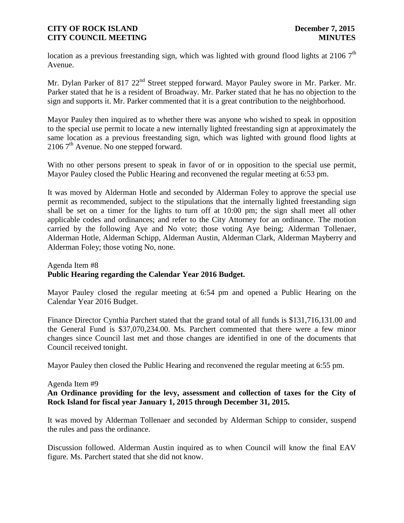location as a previous freestanding sign, which was lighted with ground flood lights at  $2106$   $7<sup>th</sup>$ Avenue.

Mr. Dylan Parker of 817 22<sup>nd</sup> Street stepped forward. Mayor Pauley swore in Mr. Parker. Mr. Parker stated that he is a resident of Broadway. Mr. Parker stated that he has no objection to the sign and supports it. Mr. Parker commented that it is a great contribution to the neighborhood.

Mayor Pauley then inquired as to whether there was anyone who wished to speak in opposition to the special use permit to locate a new internally lighted freestanding sign at approximately the same location as a previous freestanding sign, which was lighted with ground flood lights at  $21067<sup>th</sup>$  Avenue. No one stepped forward.

With no other persons present to speak in favor of or in opposition to the special use permit, Mayor Pauley closed the Public Hearing and reconvened the regular meeting at 6:53 pm.

It was moved by Alderman Hotle and seconded by Alderman Foley to approve the special use permit as recommended, subject to the stipulations that the internally lighted freestanding sign shall be set on a timer for the lights to turn off at 10:00 pm; the sign shall meet all other applicable codes and ordinances; and refer to the City Attorney for an ordinance. The motion carried by the following Aye and No vote; those voting Aye being; Alderman Tollenaer, Alderman Hotle, Alderman Schipp, Alderman Austin, Alderman Clark, Alderman Mayberry and Alderman Foley; those voting No, none.

## Agenda Item #8 **Public Hearing regarding the Calendar Year 2016 Budget.**

Mayor Pauley closed the regular meeting at 6:54 pm and opened a Public Hearing on the Calendar Year 2016 Budget.

Finance Director Cynthia Parchert stated that the grand total of all funds is \$131,716,131.00 and the General Fund is \$37,070,234.00. Ms. Parchert commented that there were a few minor changes since Council last met and those changes are identified in one of the documents that Council received tonight.

Mayor Pauley then closed the Public Hearing and reconvened the regular meeting at 6:55 pm.

### Agenda Item #9

# **An Ordinance providing for the levy, assessment and collection of taxes for the City of Rock Island for fiscal year January 1, 2015 through December 31, 2015.**

It was moved by Alderman Tollenaer and seconded by Alderman Schipp to consider, suspend the rules and pass the ordinance.

Discussion followed. Alderman Austin inquired as to when Council will know the final EAV figure. Ms. Parchert stated that she did not know.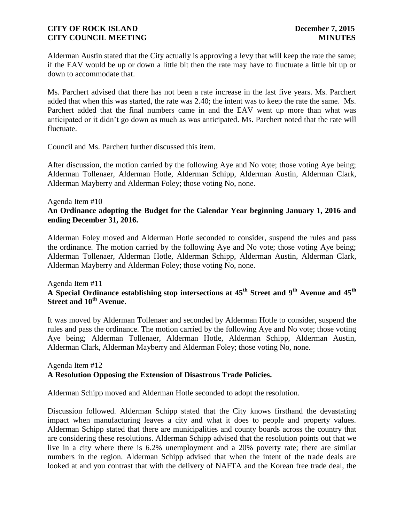Alderman Austin stated that the City actually is approving a levy that will keep the rate the same; if the EAV would be up or down a little bit then the rate may have to fluctuate a little bit up or down to accommodate that.

Ms. Parchert advised that there has not been a rate increase in the last five years. Ms. Parchert added that when this was started, the rate was 2.40; the intent was to keep the rate the same. Ms. Parchert added that the final numbers came in and the EAV went up more than what was anticipated or it didn't go down as much as was anticipated. Ms. Parchert noted that the rate will fluctuate.

Council and Ms. Parchert further discussed this item.

After discussion, the motion carried by the following Aye and No vote; those voting Aye being; Alderman Tollenaer, Alderman Hotle, Alderman Schipp, Alderman Austin, Alderman Clark, Alderman Mayberry and Alderman Foley; those voting No, none.

### Agenda Item #10

# **An Ordinance adopting the Budget for the Calendar Year beginning January 1, 2016 and ending December 31, 2016.**

Alderman Foley moved and Alderman Hotle seconded to consider, suspend the rules and pass the ordinance. The motion carried by the following Aye and No vote; those voting Aye being; Alderman Tollenaer, Alderman Hotle, Alderman Schipp, Alderman Austin, Alderman Clark, Alderman Mayberry and Alderman Foley; those voting No, none.

### Agenda Item #11 **A Special Ordinance establishing stop intersections at 45th Street and 9th Avenue and 45th Street and 10th Avenue.**

It was moved by Alderman Tollenaer and seconded by Alderman Hotle to consider, suspend the rules and pass the ordinance. The motion carried by the following Aye and No vote; those voting Aye being; Alderman Tollenaer, Alderman Hotle, Alderman Schipp, Alderman Austin, Alderman Clark, Alderman Mayberry and Alderman Foley; those voting No, none.

### Agenda Item #12 **A Resolution Opposing the Extension of Disastrous Trade Policies.**

Alderman Schipp moved and Alderman Hotle seconded to adopt the resolution.

Discussion followed. Alderman Schipp stated that the City knows firsthand the devastating impact when manufacturing leaves a city and what it does to people and property values. Alderman Schipp stated that there are municipalities and county boards across the country that are considering these resolutions. Alderman Schipp advised that the resolution points out that we live in a city where there is 6.2% unemployment and a 20% poverty rate; there are similar numbers in the region. Alderman Schipp advised that when the intent of the trade deals are looked at and you contrast that with the delivery of NAFTA and the Korean free trade deal, the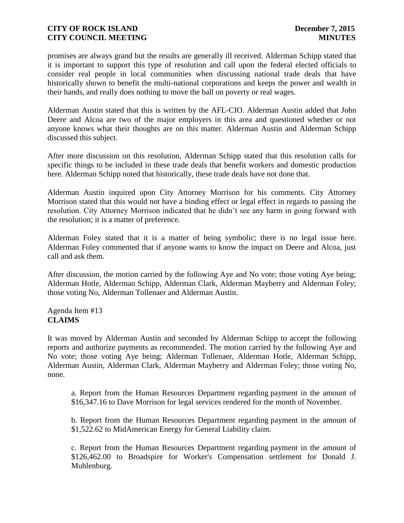promises are always grand but the results are generally ill received. Alderman Schipp stated that it is important to support this type of resolution and call upon the federal elected officials to consider real people in local communities when discussing national trade deals that have historically shown to benefit the multi-national corporations and keeps the power and wealth in their hands, and really does nothing to move the ball on poverty or real wages.

Alderman Austin stated that this is written by the AFL-CIO. Alderman Austin added that John Deere and Alcoa are two of the major employers in this area and questioned whether or not anyone knows what their thoughts are on this matter. Alderman Austin and Alderman Schipp discussed this subject.

After more discussion on this resolution, Alderman Schipp stated that this resolution calls for specific things to be included in these trade deals that benefit workers and domestic production here. Alderman Schipp noted that historically, these trade deals have not done that.

Alderman Austin inquired upon City Attorney Morrison for his comments. City Attorney Morrison stated that this would not have a binding effect or legal effect in regards to passing the resolution. City Attorney Morrison indicated that he didn't see any harm in going forward with the resolution; it is a matter of preference.

Alderman Foley stated that it is a matter of being symbolic; there is no legal issue here. Alderman Foley commented that if anyone wants to know the impact on Deere and Alcoa, just call and ask them.

After discussion, the motion carried by the following Aye and No vote; those voting Aye being; Alderman Hotle, Alderman Schipp, Alderman Clark, Alderman Mayberry and Alderman Foley; those voting No, Alderman Tollenaer and Alderman Austin.

# Agenda Item #13 **CLAIMS**

It was moved by Alderman Austin and seconded by Alderman Schipp to accept the following reports and authorize payments as recommended. The motion carried by the following Aye and No vote; those voting Aye being; Alderman Tollenaer, Alderman Hotle, Alderman Schipp, Alderman Austin, Alderman Clark, Alderman Mayberry and Alderman Foley; those voting No, none.

a. Report from the Human Resources Department regarding payment in the amount of \$16,347.16 to Dave Morrison for legal services rendered for the month of November.

b. Report from the Human Resources Department regarding payment in the amount of \$1,522.62 to MidAmerican Energy for General Liability claim.

c. Report from the Human Resources Department regarding payment in the amount of \$126,462.00 to Broadspire for Worker's Compensation settlement for Donald J. Muhlenburg.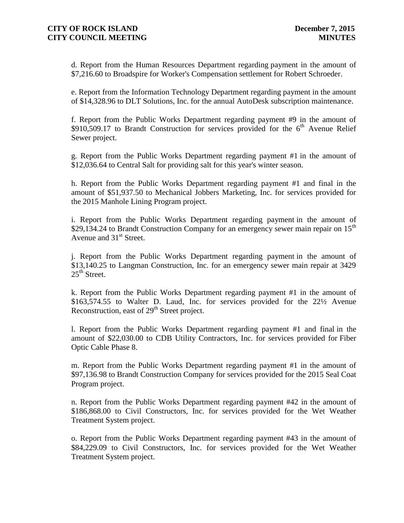d. Report from the Human Resources Department regarding payment in the amount of \$7,216.60 to Broadspire for Worker's Compensation settlement for Robert Schroeder.

e. Report from the Information Technology Department regarding payment in the amount of \$14,328.96 to DLT Solutions, Inc. for the annual AutoDesk subscription maintenance.

f. Report from the Public Works Department regarding payment #9 in the amount of \$910,509.17 to Brandt Construction for services provided for the  $6<sup>th</sup>$  Avenue Relief Sewer project.

g. Report from the Public Works Department regarding payment #1 in the amount of \$12,036.64 to Central Salt for providing salt for this year's winter season.

h. Report from the Public Works Department regarding payment #1 and final in the amount of \$51,937.50 to Mechanical Jobbers Marketing, Inc. for services provided for the 2015 Manhole Lining Program project.

i. Report from the Public Works Department regarding payment in the amount of \$29,134.24 to Brandt Construction Company for an emergency sewer main repair on  $15<sup>th</sup>$ Avenue and  $31<sup>st</sup>$  Street.

j. Report from the Public Works Department regarding payment in the amount of \$13,140.25 to Langman Construction, Inc. for an emergency sewer main repair at 3429  $25<sup>th</sup>$  Street.

k. Report from the Public Works Department regarding payment #1 in the amount of \$163,574.55 to Walter D. Laud, Inc. for services provided for the 22½ Avenue Reconstruction, east of 29<sup>th</sup> Street project.

l. Report from the Public Works Department regarding payment #1 and final in the amount of \$22,030.00 to CDB Utility Contractors, Inc. for services provided for Fiber Optic Cable Phase 8.

m. Report from the Public Works Department regarding payment #1 in the amount of \$97,136.98 to Brandt Construction Company for services provided for the 2015 Seal Coat Program project.

n. Report from the Public Works Department regarding payment #42 in the amount of \$186,868.00 to Civil Constructors, Inc. for services provided for the Wet Weather Treatment System project.

o. Report from the Public Works Department regarding payment #43 in the amount of \$84,229.09 to Civil Constructors, Inc. for services provided for the Wet Weather Treatment System project.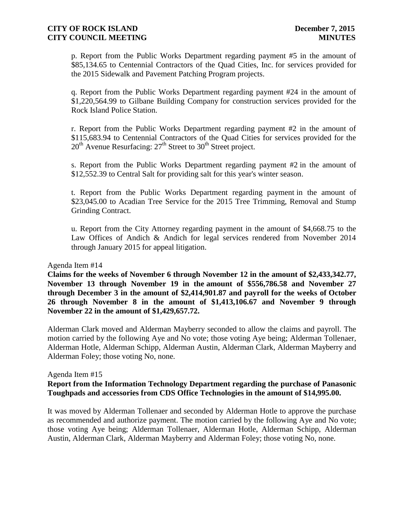p. Report from the Public Works Department regarding payment #5 in the amount of \$85,134.65 to Centennial Contractors of the Quad Cities, Inc. for services provided for the 2015 Sidewalk and Pavement Patching Program projects.

q. Report from the Public Works Department regarding payment #24 in the amount of \$1,220,564.99 to Gilbane Building Company for construction services provided for the Rock Island Police Station.

r. Report from the Public Works Department regarding payment #2 in the amount of \$115,683.94 to Centennial Contractors of the Quad Cities for services provided for the  $20<sup>th</sup>$  Avenue Resurfacing:  $27<sup>th</sup>$  Street to  $30<sup>th</sup>$  Street project.

s. Report from the Public Works Department regarding payment #2 in the amount of \$12,552.39 to Central Salt for providing salt for this year's winter season.

t. Report from the Public Works Department regarding payment in the amount of \$23,045.00 to Acadian Tree Service for the 2015 Tree Trimming, Removal and Stump Grinding Contract.

u. Report from the City Attorney regarding payment in the amount of \$4,668.75 to the Law Offices of Andich & Andich for legal services rendered from November 2014 through January 2015 for appeal litigation.

### Agenda Item #14

**Claims for the weeks of November 6 through November 12 in the amount of \$2,433,342.77, November 13 through November 19 in the amount of \$556,786.58 and November 27 through December 3 in the amount of \$2,414,901.87 and payroll for the weeks of October 26 through November 8 in the amount of \$1,413,106.67 and November 9 through November 22 in the amount of \$1,429,657.72.**

Alderman Clark moved and Alderman Mayberry seconded to allow the claims and payroll. The motion carried by the following Aye and No vote; those voting Aye being; Alderman Tollenaer, Alderman Hotle, Alderman Schipp, Alderman Austin, Alderman Clark, Alderman Mayberry and Alderman Foley; those voting No, none.

### Agenda Item #15

# **Report from the Information Technology Department regarding the purchase of Panasonic Toughpads and accessories from CDS Office Technologies in the amount of \$14,995.00.**

It was moved by Alderman Tollenaer and seconded by Alderman Hotle to approve the purchase as recommended and authorize payment. The motion carried by the following Aye and No vote; those voting Aye being; Alderman Tollenaer, Alderman Hotle, Alderman Schipp, Alderman Austin, Alderman Clark, Alderman Mayberry and Alderman Foley; those voting No, none.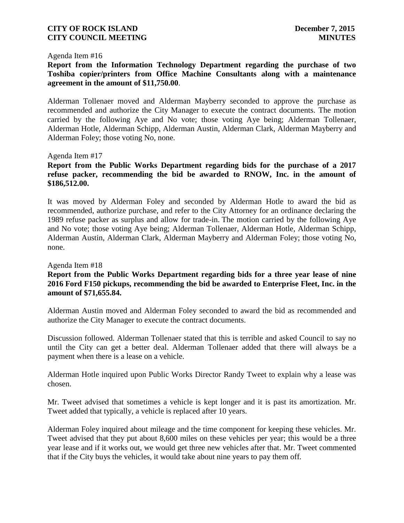### Agenda Item #16

**Report from the Information Technology Department regarding the purchase of two Toshiba copier/printers from Office Machine Consultants along with a maintenance agreement in the amount of \$11,750.00**.

Alderman Tollenaer moved and Alderman Mayberry seconded to approve the purchase as recommended and authorize the City Manager to execute the contract documents. The motion carried by the following Aye and No vote; those voting Aye being; Alderman Tollenaer, Alderman Hotle, Alderman Schipp, Alderman Austin, Alderman Clark, Alderman Mayberry and Alderman Foley; those voting No, none.

### Agenda Item #17

## **Report from the Public Works Department regarding bids for the purchase of a 2017 refuse packer, recommending the bid be awarded to RNOW, Inc. in the amount of \$186,512.00.**

It was moved by Alderman Foley and seconded by Alderman Hotle to award the bid as recommended, authorize purchase, and refer to the City Attorney for an ordinance declaring the 1989 refuse packer as surplus and allow for trade-in. The motion carried by the following Aye and No vote; those voting Aye being; Alderman Tollenaer, Alderman Hotle, Alderman Schipp, Alderman Austin, Alderman Clark, Alderman Mayberry and Alderman Foley; those voting No, none.

### Agenda Item #18

# **Report from the Public Works Department regarding bids for a three year lease of nine 2016 Ford F150 pickups, recommending the bid be awarded to Enterprise Fleet, Inc. in the amount of \$71,655.84.**

Alderman Austin moved and Alderman Foley seconded to award the bid as recommended and authorize the City Manager to execute the contract documents.

Discussion followed. Alderman Tollenaer stated that this is terrible and asked Council to say no until the City can get a better deal. Alderman Tollenaer added that there will always be a payment when there is a lease on a vehicle.

Alderman Hotle inquired upon Public Works Director Randy Tweet to explain why a lease was chosen.

Mr. Tweet advised that sometimes a vehicle is kept longer and it is past its amortization. Mr. Tweet added that typically, a vehicle is replaced after 10 years.

Alderman Foley inquired about mileage and the time component for keeping these vehicles. Mr. Tweet advised that they put about 8,600 miles on these vehicles per year; this would be a three year lease and if it works out, we would get three new vehicles after that. Mr. Tweet commented that if the City buys the vehicles, it would take about nine years to pay them off.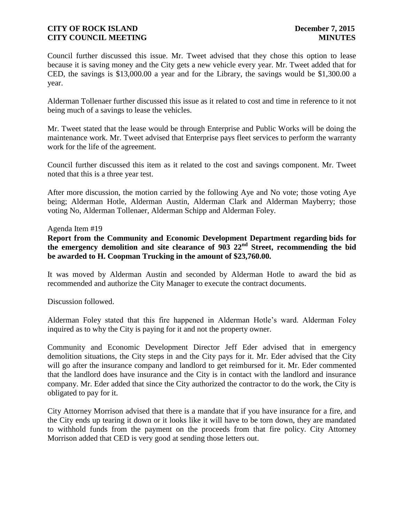Council further discussed this issue. Mr. Tweet advised that they chose this option to lease because it is saving money and the City gets a new vehicle every year. Mr. Tweet added that for CED, the savings is \$13,000.00 a year and for the Library, the savings would be \$1,300.00 a year.

Alderman Tollenaer further discussed this issue as it related to cost and time in reference to it not being much of a savings to lease the vehicles.

Mr. Tweet stated that the lease would be through Enterprise and Public Works will be doing the maintenance work. Mr. Tweet advised that Enterprise pays fleet services to perform the warranty work for the life of the agreement.

Council further discussed this item as it related to the cost and savings component. Mr. Tweet noted that this is a three year test.

After more discussion, the motion carried by the following Aye and No vote; those voting Aye being; Alderman Hotle, Alderman Austin, Alderman Clark and Alderman Mayberry; those voting No, Alderman Tollenaer, Alderman Schipp and Alderman Foley.

# Agenda Item #19

**Report from the Community and Economic Development Department regarding bids for the emergency demolition and site clearance of 903 22nd Street, recommending the bid be awarded to H. Coopman Trucking in the amount of \$23,760.00.** 

It was moved by Alderman Austin and seconded by Alderman Hotle to award the bid as recommended and authorize the City Manager to execute the contract documents.

Discussion followed.

Alderman Foley stated that this fire happened in Alderman Hotle's ward. Alderman Foley inquired as to why the City is paying for it and not the property owner.

Community and Economic Development Director Jeff Eder advised that in emergency demolition situations, the City steps in and the City pays for it. Mr. Eder advised that the City will go after the insurance company and landlord to get reimbursed for it. Mr. Eder commented that the landlord does have insurance and the City is in contact with the landlord and insurance company. Mr. Eder added that since the City authorized the contractor to do the work, the City is obligated to pay for it.

City Attorney Morrison advised that there is a mandate that if you have insurance for a fire, and the City ends up tearing it down or it looks like it will have to be torn down, they are mandated to withhold funds from the payment on the proceeds from that fire policy. City Attorney Morrison added that CED is very good at sending those letters out.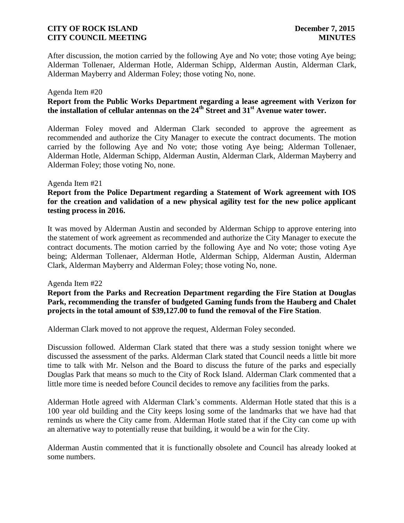After discussion, the motion carried by the following Aye and No vote; those voting Aye being; Alderman Tollenaer, Alderman Hotle, Alderman Schipp, Alderman Austin, Alderman Clark, Alderman Mayberry and Alderman Foley; those voting No, none.

### Agenda Item #20

## **Report from the Public Works Department regarding a lease agreement with Verizon for the installation of cellular antennas on the 24th Street and 31st Avenue water tower.**

Alderman Foley moved and Alderman Clark seconded to approve the agreement as recommended and authorize the City Manager to execute the contract documents. The motion carried by the following Aye and No vote; those voting Aye being; Alderman Tollenaer, Alderman Hotle, Alderman Schipp, Alderman Austin, Alderman Clark, Alderman Mayberry and Alderman Foley; those voting No, none.

### Agenda Item #21

# **Report from the Police Department regarding a Statement of Work agreement with IOS for the creation and validation of a new physical agility test for the new police applicant testing process in 2016.**

It was moved by Alderman Austin and seconded by Alderman Schipp to approve entering into the statement of work agreement as recommended and authorize the City Manager to execute the contract documents. The motion carried by the following Aye and No vote; those voting Aye being; Alderman Tollenaer, Alderman Hotle, Alderman Schipp, Alderman Austin, Alderman Clark, Alderman Mayberry and Alderman Foley; those voting No, none.

### Agenda Item #22

**Report from the Parks and Recreation Department regarding the Fire Station at Douglas Park, recommending the transfer of budgeted Gaming funds from the Hauberg and Chalet projects in the total amount of \$39,127.00 to fund the removal of the Fire Station**.

Alderman Clark moved to not approve the request, Alderman Foley seconded.

Discussion followed. Alderman Clark stated that there was a study session tonight where we discussed the assessment of the parks. Alderman Clark stated that Council needs a little bit more time to talk with Mr. Nelson and the Board to discuss the future of the parks and especially Douglas Park that means so much to the City of Rock Island. Alderman Clark commented that a little more time is needed before Council decides to remove any facilities from the parks.

Alderman Hotle agreed with Alderman Clark's comments. Alderman Hotle stated that this is a 100 year old building and the City keeps losing some of the landmarks that we have had that reminds us where the City came from. Alderman Hotle stated that if the City can come up with an alternative way to potentially reuse that building, it would be a win for the City.

Alderman Austin commented that it is functionally obsolete and Council has already looked at some numbers.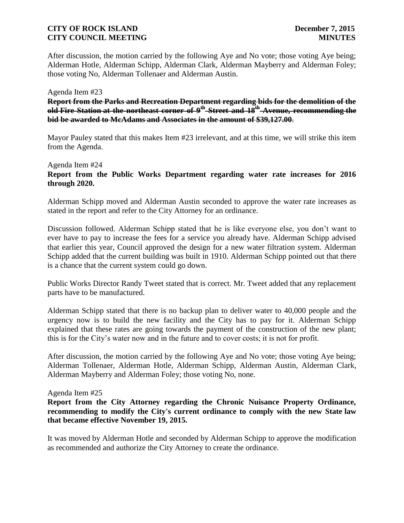After discussion, the motion carried by the following Aye and No vote; those voting Aye being; Alderman Hotle, Alderman Schipp, Alderman Clark, Alderman Mayberry and Alderman Foley; those voting No, Alderman Tollenaer and Alderman Austin.

### Agenda Item #23

**Report from the Parks and Recreation Department regarding bids for the demolition of the old Fire Station at the northeast corner of 9th Street and 18th Avenue, recommending the bid be awarded to McAdams and Associates in the amount of \$39,127.00**.

Mayor Pauley stated that this makes Item #23 irrelevant, and at this time, we will strike this item from the Agenda.

### Agenda Item #24

**Report from the Public Works Department regarding water rate increases for 2016 through 2020.** 

Alderman Schipp moved and Alderman Austin seconded to approve the water rate increases as stated in the report and refer to the City Attorney for an ordinance.

Discussion followed. Alderman Schipp stated that he is like everyone else, you don't want to ever have to pay to increase the fees for a service you already have. Alderman Schipp advised that earlier this year, Council approved the design for a new water filtration system. Alderman Schipp added that the current building was built in 1910. Alderman Schipp pointed out that there is a chance that the current system could go down.

Public Works Director Randy Tweet stated that is correct. Mr. Tweet added that any replacement parts have to be manufactured.

Alderman Schipp stated that there is no backup plan to deliver water to 40,000 people and the urgency now is to build the new facility and the City has to pay for it. Alderman Schipp explained that these rates are going towards the payment of the construction of the new plant; this is for the City's water now and in the future and to cover costs; it is not for profit.

After discussion, the motion carried by the following Aye and No vote; those voting Aye being; Alderman Tollenaer, Alderman Hotle, Alderman Schipp, Alderman Austin, Alderman Clark, Alderman Mayberry and Alderman Foley; those voting No, none.

### Agenda Item #25

**Report from the City Attorney regarding the Chronic Nuisance Property Ordinance, recommending to modify the City's current ordinance to comply with the new State law that became effective November 19, 2015.** 

It was moved by Alderman Hotle and seconded by Alderman Schipp to approve the modification as recommended and authorize the City Attorney to create the ordinance.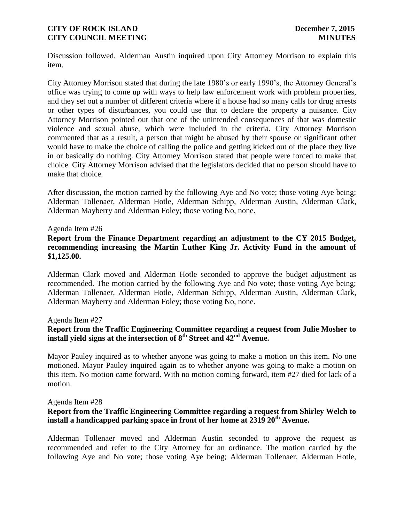Discussion followed. Alderman Austin inquired upon City Attorney Morrison to explain this item.

City Attorney Morrison stated that during the late 1980's or early 1990's, the Attorney General's office was trying to come up with ways to help law enforcement work with problem properties, and they set out a number of different criteria where if a house had so many calls for drug arrests or other types of disturbances, you could use that to declare the property a nuisance. City Attorney Morrison pointed out that one of the unintended consequences of that was domestic violence and sexual abuse, which were included in the criteria. City Attorney Morrison commented that as a result, a person that might be abused by their spouse or significant other would have to make the choice of calling the police and getting kicked out of the place they live in or basically do nothing. City Attorney Morrison stated that people were forced to make that choice. City Attorney Morrison advised that the legislators decided that no person should have to make that choice.

After discussion, the motion carried by the following Aye and No vote; those voting Aye being; Alderman Tollenaer, Alderman Hotle, Alderman Schipp, Alderman Austin, Alderman Clark, Alderman Mayberry and Alderman Foley; those voting No, none.

### Agenda Item #26

## **Report from the Finance Department regarding an adjustment to the CY 2015 Budget, recommending increasing the Martin Luther King Jr. Activity Fund in the amount of \$1,125.00.**

Alderman Clark moved and Alderman Hotle seconded to approve the budget adjustment as recommended. The motion carried by the following Aye and No vote; those voting Aye being; Alderman Tollenaer, Alderman Hotle, Alderman Schipp, Alderman Austin, Alderman Clark, Alderman Mayberry and Alderman Foley; those voting No, none.

### Agenda Item #27

# **Report from the Traffic Engineering Committee regarding a request from Julie Mosher to install yield signs at the intersection of 8th Street and 42nd Avenue.**

Mayor Pauley inquired as to whether anyone was going to make a motion on this item. No one motioned. Mayor Pauley inquired again as to whether anyone was going to make a motion on this item. No motion came forward. With no motion coming forward, item #27 died for lack of a motion.

### Agenda Item #28

# **Report from the Traffic Engineering Committee regarding a request from Shirley Welch to install a handicapped parking space in front of her home at 2319 20th Avenue.**

Alderman Tollenaer moved and Alderman Austin seconded to approve the request as recommended and refer to the City Attorney for an ordinance. The motion carried by the following Aye and No vote; those voting Aye being; Alderman Tollenaer, Alderman Hotle,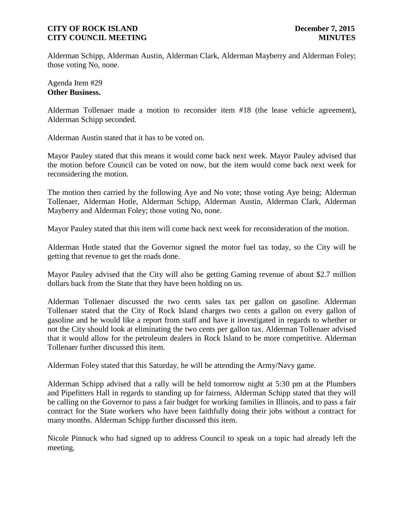Alderman Schipp, Alderman Austin, Alderman Clark, Alderman Mayberry and Alderman Foley; those voting No, none.

Agenda Item #29 **Other Business.**

Alderman Tollenaer made a motion to reconsider item #18 (the lease vehicle agreement), Alderman Schipp seconded.

Alderman Austin stated that it has to be voted on.

Mayor Pauley stated that this means it would come back next week. Mayor Pauley advised that the motion before Council can be voted on now, but the item would come back next week for reconsidering the motion.

The motion then carried by the following Aye and No vote; those voting Aye being; Alderman Tollenaer, Alderman Hotle, Alderman Schipp, Alderman Austin, Alderman Clark, Alderman Mayberry and Alderman Foley; those voting No, none.

Mayor Pauley stated that this item will come back next week for reconsideration of the motion.

Alderman Hotle stated that the Governor signed the motor fuel tax today, so the City will be getting that revenue to get the roads done.

Mayor Pauley advised that the City will also be getting Gaming revenue of about \$2.7 million dollars back from the State that they have been holding on us.

Alderman Tollenaer discussed the two cents sales tax per gallon on gasoline. Alderman Tollenaer stated that the City of Rock Island charges two cents a gallon on every gallon of gasoline and he would like a report from staff and have it investigated in regards to whether or not the City should look at eliminating the two cents per gallon tax. Alderman Tollenaer advised that it would allow for the petroleum dealers in Rock Island to be more competitive. Alderman Tollenaer further discussed this item.

Alderman Foley stated that this Saturday, he will be attending the Army/Navy game.

Alderman Schipp advised that a rally will be held tomorrow night at 5:30 pm at the Plumbers and Pipefitters Hall in regards to standing up for fairness. Alderman Schipp stated that they will be calling on the Governor to pass a fair budget for working families in Illinois, and to pass a fair contract for the State workers who have been faithfully doing their jobs without a contract for many months. Alderman Schipp further discussed this item.

Nicole Pinnuck who had signed up to address Council to speak on a topic had already left the meeting.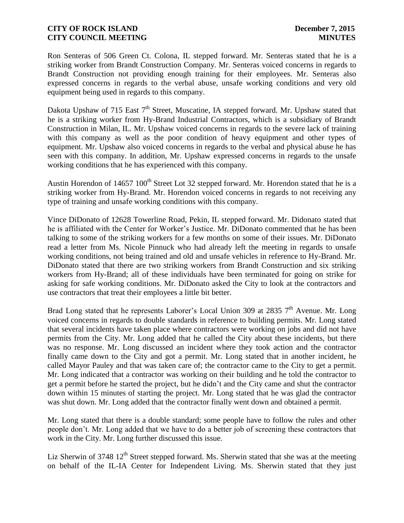Ron Senteras of 506 Green Ct. Colona, IL stepped forward. Mr. Senteras stated that he is a striking worker from Brandt Construction Company. Mr. Senteras voiced concerns in regards to Brandt Construction not providing enough training for their employees. Mr. Senteras also expressed concerns in regards to the verbal abuse, unsafe working conditions and very old equipment being used in regards to this company.

Dakota Upshaw of 715 East  $7<sup>th</sup>$  Street, Muscatine, IA stepped forward. Mr. Upshaw stated that he is a striking worker from Hy-Brand Industrial Contractors, which is a subsidiary of Brandt Construction in Milan, IL. Mr. Upshaw voiced concerns in regards to the severe lack of training with this company as well as the poor condition of heavy equipment and other types of equipment. Mr. Upshaw also voiced concerns in regards to the verbal and physical abuse he has seen with this company. In addition, Mr. Upshaw expressed concerns in regards to the unsafe working conditions that he has experienced with this company.

Austin Horendon of  $14657 100<sup>th</sup>$  Street Lot 32 stepped forward. Mr. Horendon stated that he is a striking worker from Hy-Brand. Mr. Horendon voiced concerns in regards to not receiving any type of training and unsafe working conditions with this company.

Vince DiDonato of 12628 Towerline Road, Pekin, IL stepped forward. Mr. Didonato stated that he is affiliated with the Center for Worker's Justice. Mr. DiDonato commented that he has been talking to some of the striking workers for a few months on some of their issues. Mr. DiDonato read a letter from Ms. Nicole Pinnuck who had already left the meeting in regards to unsafe working conditions, not being trained and old and unsafe vehicles in reference to Hy-Brand. Mr. DiDonato stated that there are two striking workers from Brandt Construction and six striking workers from Hy-Brand; all of these individuals have been terminated for going on strike for asking for safe working conditions. Mr. DiDonato asked the City to look at the contractors and use contractors that treat their employees a little bit better.

Brad Long stated that he represents Laborer's Local Union 309 at 2835  $7<sup>th</sup>$  Avenue. Mr. Long voiced concerns in regards to double standards in reference to building permits. Mr. Long stated that several incidents have taken place where contractors were working on jobs and did not have permits from the City. Mr. Long added that he called the City about these incidents, but there was no response. Mr. Long discussed an incident where they took action and the contractor finally came down to the City and got a permit. Mr. Long stated that in another incident, he called Mayor Pauley and that was taken care of; the contractor came to the City to get a permit. Mr. Long indicated that a contractor was working on their building and he told the contractor to get a permit before he started the project, but he didn't and the City came and shut the contractor down within 15 minutes of starting the project. Mr. Long stated that he was glad the contractor was shut down. Mr. Long added that the contractor finally went down and obtained a permit.

Mr. Long stated that there is a double standard; some people have to follow the rules and other people don't. Mr. Long added that we have to do a better job of screening these contractors that work in the City. Mr. Long further discussed this issue.

Liz Sherwin of 3748  $12<sup>th</sup>$  Street stepped forward. Ms. Sherwin stated that she was at the meeting on behalf of the IL-IA Center for Independent Living. Ms. Sherwin stated that they just